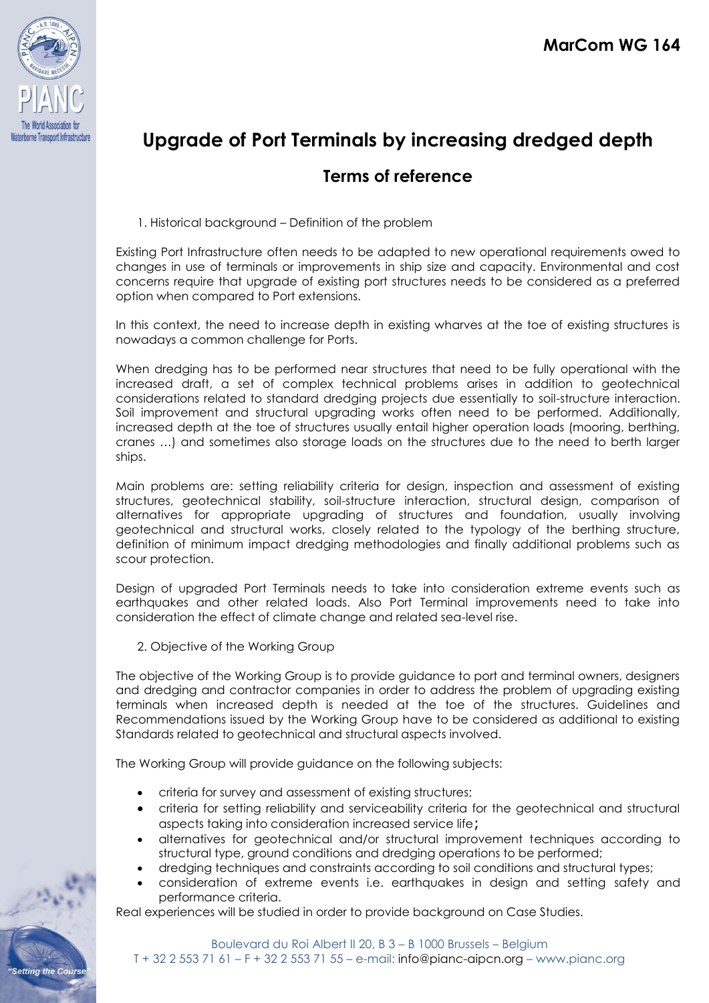

# **Upgrade of Port Terminals by increasing dredged depth**

## **Terms of reference**

1. Historical background – Definition of the problem

Existing Port Infrastructure often needs to be adapted to new operational requirements owed to changes in use of terminals or improvements in ship size and capacity. Environmental and cost concerns require that upgrade of existing port structures needs to be considered as a preferred option when compared to Port extensions.

In this context, the need to increase depth in existing wharves at the toe of existing structures is nowadays a common challenge for Ports.

When dredging has to be performed near structures that need to be fully operational with the increased draft, a set of complex technical problems arises in addition to geotechnical considerations related to standard dredging projects due essentially to soil-structure interaction. Soil improvement and structural upgrading works often need to be performed. Additionally, increased depth at the toe of structures usually entail higher operation loads (mooring, berthing, cranes …) and sometimes also storage loads on the structures due to the need to berth larger ships.

Main problems are: setting reliability criteria for design, inspection and assessment of existing structures, geotechnical stability, soil-structure interaction, structural design, comparison of alternatives for appropriate upgrading of structures and foundation, usually involving geotechnical and structural works, closely related to the typology of the berthing structure, definition of minimum impact dredging methodologies and finally additional problems such as scour protection.

Design of upgraded Port Terminals needs to take into consideration extreme events such as earthquakes and other related loads. Also Port Terminal improvements need to take into consideration the effect of climate change and related sea-level rise.

2. Objective of the Working Group

The objective of the Working Group is to provide guidance to port and terminal owners, designers and dredging and contractor companies in order to address the problem of upgrading existing terminals when increased depth is needed at the toe of the structures. Guidelines and Recommendations issued by the Working Group have to be considered as additional to existing Standards related to geotechnical and structural aspects involved.

The Working Group will provide guidance on the following subjects:

- criteria for survey and assessment of existing structures;
- criteria for setting reliability and serviceability criteria for the geotechnical and structural aspects taking into consideration increased service life;
- alternatives for geotechnical and/or structural improvement techniques according to structural type, ground conditions and dredging operations to be performed;
- dredging techniques and constraints according to soil conditions and structural types;
- consideration of extreme events i.e. earthquakes in design and setting safety and performance criteria.

Real experiences will be studied in order to provide background on Case Studies.

**Setting the Cours**